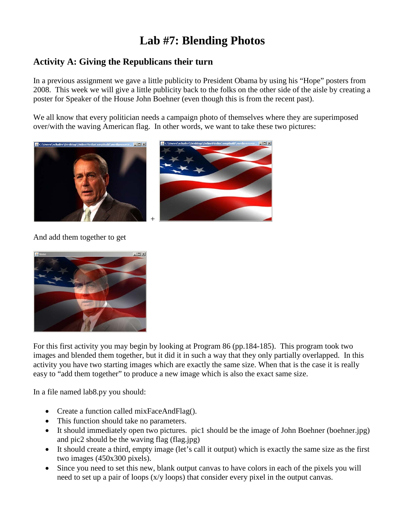## **Lab #7: Blending Photos**

## **Activity A: Giving the Republicans their turn**

In a previous assignment we gave a little publicity to President Obama by using his "Hope" posters from 2008. This week we will give a little publicity back to the folks on the other side of the aisle by creating a poster for Speaker of the House John Boehner (even though this is from the recent past).

We all know that every politician needs a campaign photo of themselves where they are superimposed over/with the waving American flag. In other words, we want to take these two pictures:



## And add them together to get



For this first activity you may begin by looking at Program 86 (pp.184-185). This program took two images and blended them together, but it did it in such a way that they only partially overlapped. In this activity you have two starting images which are exactly the same size. When that is the case it is really easy to "add them together" to produce a new image which is also the exact same size.

In a file named lab8.py you should:

- Create a function called mixFaceAndFlag().
- This function should take no parameters.
- It should immediately open two pictures. pic1 should be the image of John Boehner (boehner.jpg) and pic2 should be the waving flag (flag.jpg)
- It should create a third, empty image (let's call it output) which is exactly the same size as the first two images (450x300 pixels).
- Since you need to set this new, blank output canvas to have colors in each of the pixels you will need to set up a pair of loops (x/y loops) that consider every pixel in the output canvas.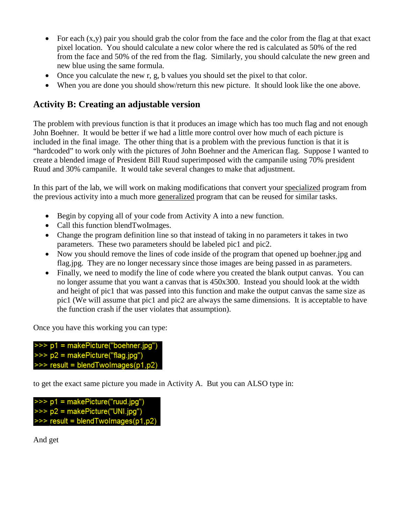- For each  $(x,y)$  pair you should grab the color from the face and the color from the flag at that exact pixel location. You should calculate a new color where the red is calculated as 50% of the red from the face and 50% of the red from the flag. Similarly, you should calculate the new green and new blue using the same formula.
- Once you calculate the new r, g, b values you should set the pixel to that color.
- When you are done you should show/return this new picture. It should look like the one above.

## **Activity B: Creating an adjustable version**

The problem with previous function is that it produces an image which has too much flag and not enough John Boehner. It would be better if we had a little more control over how much of each picture is included in the final image. The other thing that is a problem with the previous function is that it is "hardcoded" to work only with the pictures of John Boehner and the American flag. Suppose I wanted to create a blended image of President Bill Ruud superimposed with the campanile using 70% president Ruud and 30% campanile. It would take several changes to make that adjustment.

In this part of the lab, we will work on making modifications that convert your specialized program from the previous activity into a much more generalized program that can be reused for similar tasks.

- Begin by copying all of your code from Activity A into a new function.
- Call this function blendTwoImages.
- Change the program definition line so that instead of taking in no parameters it takes in two parameters. These two parameters should be labeled pic1 and pic2.
- Now you should remove the lines of code inside of the program that opened up boehner.jpg and flag.jpg. They are no longer necessary since those images are being passed in as parameters.
- Finally, we need to modify the line of code where you created the blank output canvas. You can no longer assume that you want a canvas that is 450x300. Instead you should look at the width and height of pic1 that was passed into this function and make the output canvas the same size as pic1 (We will assume that pic1 and pic2 are always the same dimensions. It is acceptable to have the function crash if the user violates that assumption).

Once you have this working you can type:

>>> p1 = makePicture("boehner.jpg")  $\gg$   $p2$  = makePicture("flag.jpg")  $\gg$  result = blendTwoImages(p1,p2)

to get the exact same picture you made in Activity A. But you can ALSO type in:

>>> p1 = makePicture("ruud.jpg") >>> p2 = makePicture("UNI.jpg")  $\gg$  result = blendTwoImages(p1,p2)

And get